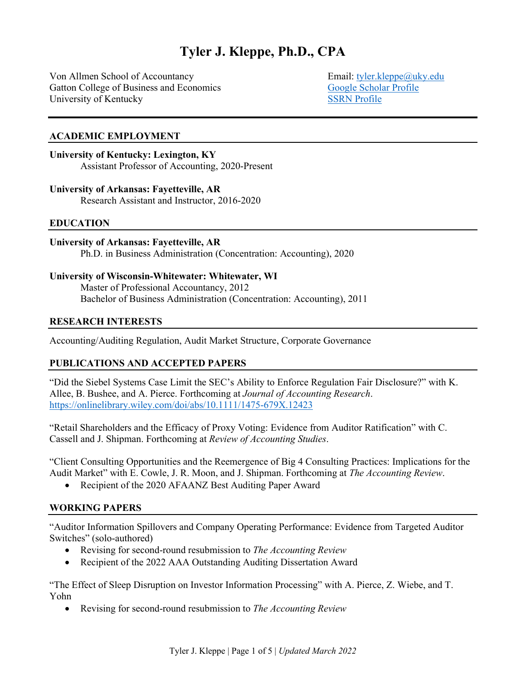# **Tyler J. Kleppe, Ph.D., CPA**

Von Allmen School of Accountancy Email: [tyler.kleppe@uky.edu](mailto:tyler.kleppe@uky.edu)  Gatton College of Business and Economics [Google Scholar Profile](https://scholar.google.com/citations?user=WzwuFKAAAAAJ&hl=en&oi=ao) University of Kentucky [SSRN Profile](https://papers.ssrn.com/sol3/cf_dev/AbsByAuth.cfm?per_id=2890472)

#### **ACADEMIC EMPLOYMENT**

#### **University of Kentucky: Lexington, KY**

Assistant Professor of Accounting, 2020-Present

#### **University of Arkansas: Fayetteville, AR**

Research Assistant and Instructor, 2016-2020

#### **EDUCATION**

#### **University of Arkansas: Fayetteville, AR**

Ph.D. in Business Administration (Concentration: Accounting), 2020

#### **University of Wisconsin-Whitewater: Whitewater, WI**

Master of Professional Accountancy, 2012 Bachelor of Business Administration (Concentration: Accounting), 2011

#### **RESEARCH INTERESTS**

Accounting/Auditing Regulation, Audit Market Structure, Corporate Governance

## **PUBLICATIONS AND ACCEPTED PAPERS**

"Did the Siebel Systems Case Limit the SEC's Ability to Enforce Regulation Fair Disclosure?" with K. Allee, B. Bushee, and A. Pierce. Forthcoming at *Journal of Accounting Research*. <https://onlinelibrary.wiley.com/doi/abs/10.1111/1475-679X.12423>

"Retail Shareholders and the Efficacy of Proxy Voting: Evidence from Auditor Ratification" with C. Cassell and J. Shipman. Forthcoming at *Review of Accounting Studies*.

"Client Consulting Opportunities and the Reemergence of Big 4 Consulting Practices: Implications for the Audit Market" with E. Cowle, J. R. Moon, and J. Shipman. Forthcoming at *The Accounting Review*.

• Recipient of the 2020 AFAANZ Best Auditing Paper Award

## **WORKING PAPERS**

"Auditor Information Spillovers and Company Operating Performance: Evidence from Targeted Auditor Switches" (solo-authored)

- Revising for second-round resubmission to *The Accounting Review*
- Recipient of the 2022 AAA Outstanding Auditing Dissertation Award

"The Effect of Sleep Disruption on Investor Information Processing" with A. Pierce, Z. Wiebe, and T. Yohn

• Revising for second-round resubmission to *The Accounting Review*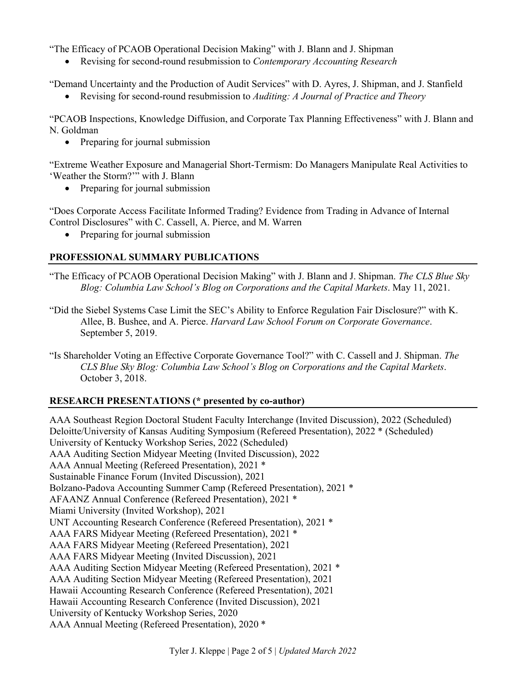"The Efficacy of PCAOB Operational Decision Making" with J. Blann and J. Shipman

• Revising for second-round resubmission to *Contemporary Accounting Research*

"Demand Uncertainty and the Production of Audit Services" with D. Ayres, J. Shipman, and J. Stanfield

• Revising for second-round resubmission to *Auditing: A Journal of Practice and Theory*

"PCAOB Inspections, Knowledge Diffusion, and Corporate Tax Planning Effectiveness" with J. Blann and N. Goldman

• Preparing for journal submission

"Extreme Weather Exposure and Managerial Short-Termism: Do Managers Manipulate Real Activities to 'Weather the Storm?'" with J. Blann

• Preparing for journal submission

"Does Corporate Access Facilitate Informed Trading? Evidence from Trading in Advance of Internal Control Disclosures" with C. Cassell, A. Pierce, and M. Warren

• Preparing for journal submission

# **PROFESSIONAL SUMMARY PUBLICATIONS**

- "The Efficacy of PCAOB Operational Decision Making" with J. Blann and J. Shipman. *The CLS Blue Sky Blog: Columbia Law School's Blog on Corporations and the Capital Markets*. May 11, 2021.
- "Did the Siebel Systems Case Limit the SEC's Ability to Enforce Regulation Fair Disclosure?" with K. Allee, B. Bushee, and A. Pierce. *Harvard Law School Forum on Corporate Governance*. September 5, 2019.
- "Is Shareholder Voting an Effective Corporate Governance Tool?" with C. Cassell and J. Shipman. *The CLS Blue Sky Blog: Columbia Law School's Blog on Corporations and the Capital Markets*. October 3, 2018.

# **RESEARCH PRESENTATIONS (\* presented by co-author)**

AAA Southeast Region Doctoral Student Faculty Interchange (Invited Discussion), 2022 (Scheduled) Deloitte/University of Kansas Auditing Symposium (Refereed Presentation), 2022 \* (Scheduled) University of Kentucky Workshop Series, 2022 (Scheduled) AAA Auditing Section Midyear Meeting (Invited Discussion), 2022 AAA Annual Meeting (Refereed Presentation), 2021 \* Sustainable Finance Forum (Invited Discussion), 2021 Bolzano-Padova Accounting Summer Camp (Refereed Presentation), 2021 \* AFAANZ Annual Conference (Refereed Presentation), 2021 \* Miami University (Invited Workshop), 2021 UNT Accounting Research Conference (Refereed Presentation), 2021 \* AAA FARS Midyear Meeting (Refereed Presentation), 2021 \* AAA FARS Midyear Meeting (Refereed Presentation), 2021 AAA FARS Midyear Meeting (Invited Discussion), 2021 AAA Auditing Section Midyear Meeting (Refereed Presentation), 2021 \* AAA Auditing Section Midyear Meeting (Refereed Presentation), 2021 Hawaii Accounting Research Conference (Refereed Presentation), 2021 Hawaii Accounting Research Conference (Invited Discussion), 2021 University of Kentucky Workshop Series, 2020 AAA Annual Meeting (Refereed Presentation), 2020 \*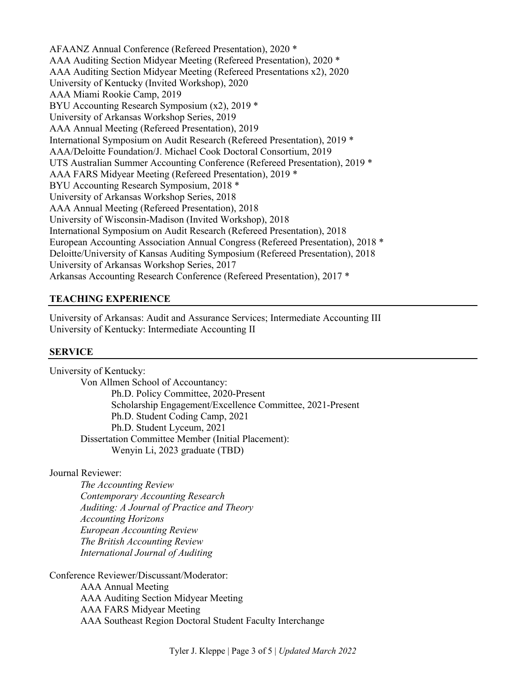AFAANZ Annual Conference (Refereed Presentation), 2020 \* AAA Auditing Section Midyear Meeting (Refereed Presentation), 2020 \* AAA Auditing Section Midyear Meeting (Refereed Presentations x2), 2020 University of Kentucky (Invited Workshop), 2020 AAA Miami Rookie Camp, 2019 BYU Accounting Research Symposium (x2), 2019 \* University of Arkansas Workshop Series, 2019 AAA Annual Meeting (Refereed Presentation), 2019 International Symposium on Audit Research (Refereed Presentation), 2019 \* AAA/Deloitte Foundation/J. Michael Cook Doctoral Consortium, 2019 UTS Australian Summer Accounting Conference (Refereed Presentation), 2019 \* AAA FARS Midyear Meeting (Refereed Presentation), 2019 \* BYU Accounting Research Symposium, 2018 \* University of Arkansas Workshop Series, 2018 AAA Annual Meeting (Refereed Presentation), 2018 University of Wisconsin-Madison (Invited Workshop), 2018 International Symposium on Audit Research (Refereed Presentation), 2018 European Accounting Association Annual Congress (Refereed Presentation), 2018 \* Deloitte/University of Kansas Auditing Symposium (Refereed Presentation), 2018 University of Arkansas Workshop Series, 2017 Arkansas Accounting Research Conference (Refereed Presentation), 2017 \*

## **TEACHING EXPERIENCE**

University of Arkansas: Audit and Assurance Services; Intermediate Accounting III University of Kentucky: Intermediate Accounting II

## **SERVICE**

University of Kentucky: Von Allmen School of Accountancy: Ph.D. Policy Committee, 2020-Present Scholarship Engagement/Excellence Committee, 2021-Present Ph.D. Student Coding Camp, 2021 Ph.D. Student Lyceum, 2021 Dissertation Committee Member (Initial Placement): Wenyin Li, 2023 graduate (TBD)

## Journal Reviewer:

*The Accounting Review Contemporary Accounting Research Auditing: A Journal of Practice and Theory Accounting Horizons European Accounting Review The British Accounting Review International Journal of Auditing*

Conference Reviewer/Discussant/Moderator: AAA Annual Meeting AAA Auditing Section Midyear Meeting AAA FARS Midyear Meeting AAA Southeast Region Doctoral Student Faculty Interchange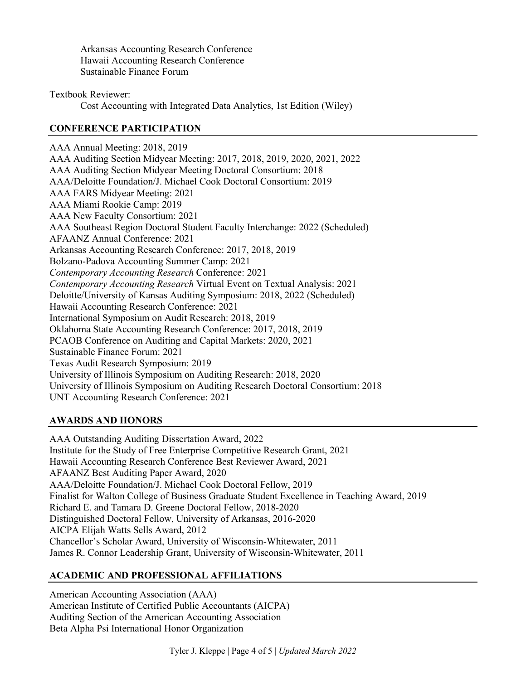Arkansas Accounting Research Conference Hawaii Accounting Research Conference Sustainable Finance Forum

Textbook Reviewer:

Cost Accounting with Integrated Data Analytics, 1st Edition (Wiley)

# **CONFERENCE PARTICIPATION**

AAA Annual Meeting: 2018, 2019 AAA Auditing Section Midyear Meeting: 2017, 2018, 2019, 2020, 2021, 2022 AAA Auditing Section Midyear Meeting Doctoral Consortium: 2018 AAA/Deloitte Foundation/J. Michael Cook Doctoral Consortium: 2019 AAA FARS Midyear Meeting: 2021 AAA Miami Rookie Camp: 2019 AAA New Faculty Consortium: 2021 AAA Southeast Region Doctoral Student Faculty Interchange: 2022 (Scheduled) AFAANZ Annual Conference: 2021 Arkansas Accounting Research Conference: 2017, 2018, 2019 Bolzano-Padova Accounting Summer Camp: 2021 *Contemporary Accounting Research* Conference: 2021 *Contemporary Accounting Research* Virtual Event on Textual Analysis: 2021 Deloitte/University of Kansas Auditing Symposium: 2018, 2022 (Scheduled) Hawaii Accounting Research Conference: 2021 International Symposium on Audit Research: 2018, 2019 Oklahoma State Accounting Research Conference: 2017, 2018, 2019 PCAOB Conference on Auditing and Capital Markets: 2020, 2021 Sustainable Finance Forum: 2021 Texas Audit Research Symposium: 2019 University of Illinois Symposium on Auditing Research: 2018, 2020 University of Illinois Symposium on Auditing Research Doctoral Consortium: 2018 UNT Accounting Research Conference: 2021

# **AWARDS AND HONORS**

AAA Outstanding Auditing Dissertation Award, 2022 Institute for the Study of Free Enterprise Competitive Research Grant, 2021 Hawaii Accounting Research Conference Best Reviewer Award, 2021 AFAANZ Best Auditing Paper Award, 2020 AAA/Deloitte Foundation/J. Michael Cook Doctoral Fellow, 2019 Finalist for Walton College of Business Graduate Student Excellence in Teaching Award, 2019 Richard E. and Tamara D. Greene Doctoral Fellow, 2018-2020 Distinguished Doctoral Fellow, University of Arkansas, 2016-2020 AICPA Elijah Watts Sells Award, 2012 Chancellor's Scholar Award, University of Wisconsin-Whitewater, 2011 James R. Connor Leadership Grant, University of Wisconsin-Whitewater, 2011

# **ACADEMIC AND PROFESSIONAL AFFILIATIONS**

American Accounting Association (AAA) American Institute of Certified Public Accountants (AICPA) Auditing Section of the American Accounting Association Beta Alpha Psi International Honor Organization